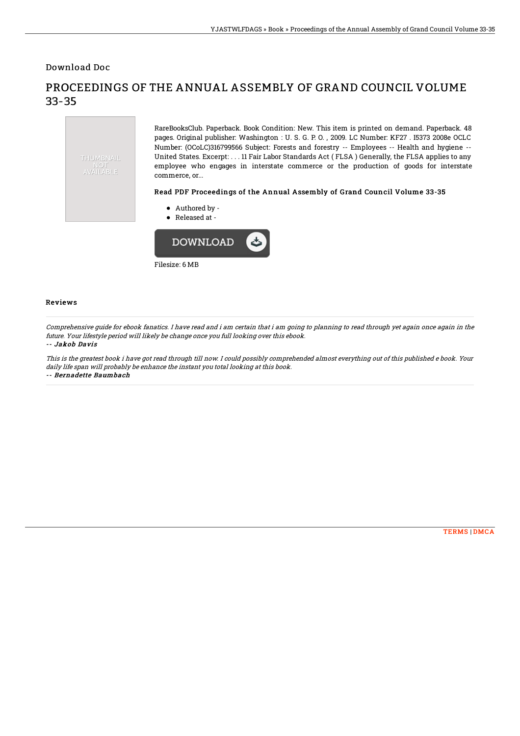Download Doc

# THUMBNAIL AVAILABLE

## PROCEEDINGS OF THE ANNUAL ASSEMBLY OF GRAND COUNCIL VOLUME 33-35

RareBooksClub. Paperback. Book Condition: New. This item is printed on demand. Paperback. 48 pages. Original publisher: Washington : U. S. G. P. O. , 2009. LC Number: KF27 . I5373 2008e OCLC Number: (OCoLC)316799566 Subject: Forests and forestry -- Employees -- Health and hygiene -- United States. Excerpt: . . . 11 Fair Labor Standards Act ( FLSA ) Generally, the FLSA applies to any employee who engages in interstate commerce or the production of goods for interstate commerce, or...

#### Read PDF Proceedings of the Annual Assembly of Grand Council Volume 33-35

- Authored by -
- Released at -



#### Reviews

Comprehensive guide for ebook fanatics. I have read and i am certain that i am going to planning to read through yet again once again in the future. Your lifestyle period will likely be change once you full looking over this ebook.

#### -- Jakob Davis

This is the greatest book i have got read through till now. I could possibly comprehended almost everything out of this published <sup>e</sup> book. Your daily life span will probably be enhance the instant you total looking at this book. -- Bernadette Baumbach